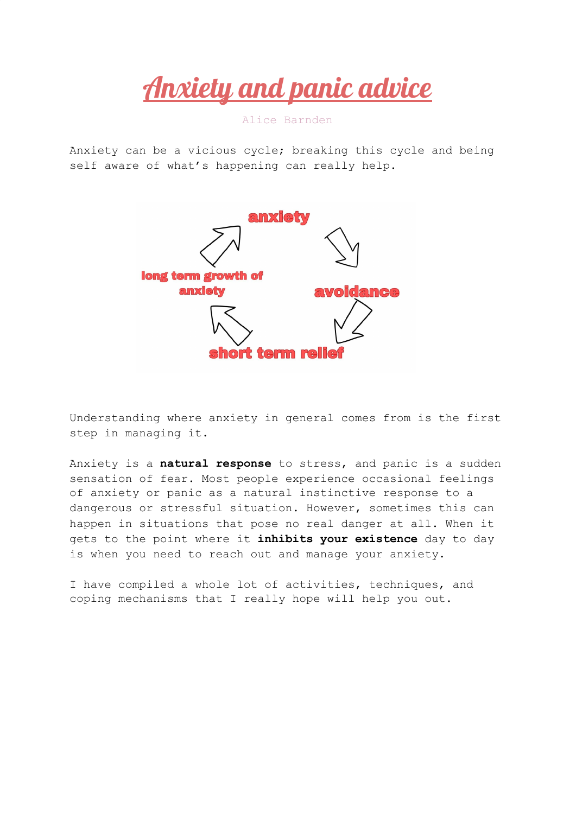Anxiety and panic advice

Alice Barnden

Anxiety can be a vicious cycle; breaking this cycle and being self aware of what's happening can really help.



Understanding where anxiety in general comes from is the first step in managing it.

Anxiety is a **natural response** to stress, and panic is a sudden sensation of fear. Most people experience occasional feelings of anxiety or panic as a natural instinctive response to a dangerous or stressful situation. However, sometimes this can happen in situations that pose no real danger at all. When it gets to the point where it **inhibits your existence** day to day is when you need to reach out and manage your anxiety.

I have compiled a whole lot of activities, techniques, and coping mechanisms that I really hope will help you out.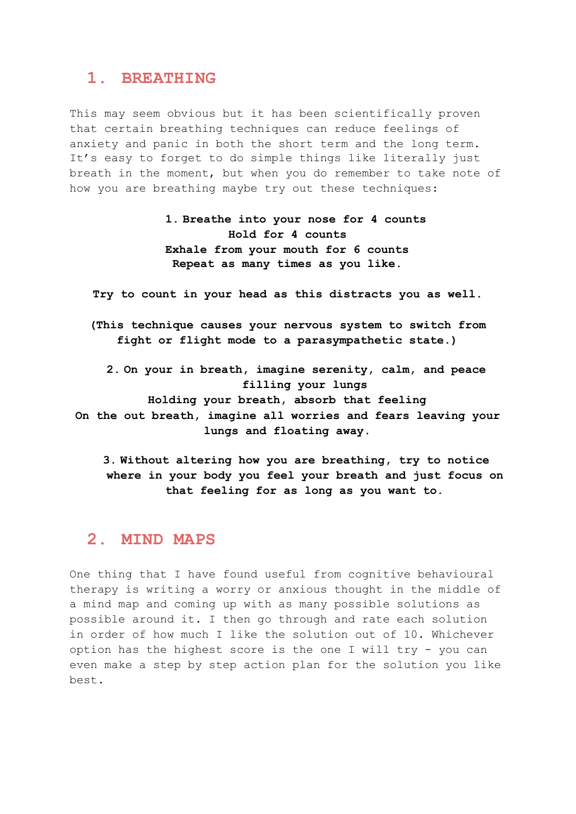#### **1. BREATHING**

This may seem obvious but it has been scientifically proven that certain breathing techniques can reduce feelings of anxiety and panic in both the short term and the long term. It's easy to forget to do simple things like literally just breath in the moment, but when you do remember to take note of how you are breathing maybe try out these techniques:

> **1. Breathe into your nose for 4 counts Hold for 4 counts Exhale from your mouth for 6 counts Repeat as many times as you like.**

**Try to count in your head as this distracts you as well.**

**(This technique causes your nervous system to switch from fight or flight mode to a parasympathetic state.)**

**2. On your in breath, imagine serenity, calm, and peace filling your lungs Holding your breath, absorb that feeling On the out breath, imagine all worries and fears leaving your lungs and floating away.**

**3. Without altering how you are breathing, try to notice where in your body you feel your breath and just focus on that feeling for as long as you want to.**

## **2. MIND MAPS**

One thing that I have found useful from cognitive behavioural therapy is writing a worry or anxious thought in the middle of a mind map and coming up with as many possible solutions as possible around it. I then go through and rate each solution in order of how much I like the solution out of 10. Whichever option has the highest score is the one I will try - you can even make a step by step action plan for the solution you like best.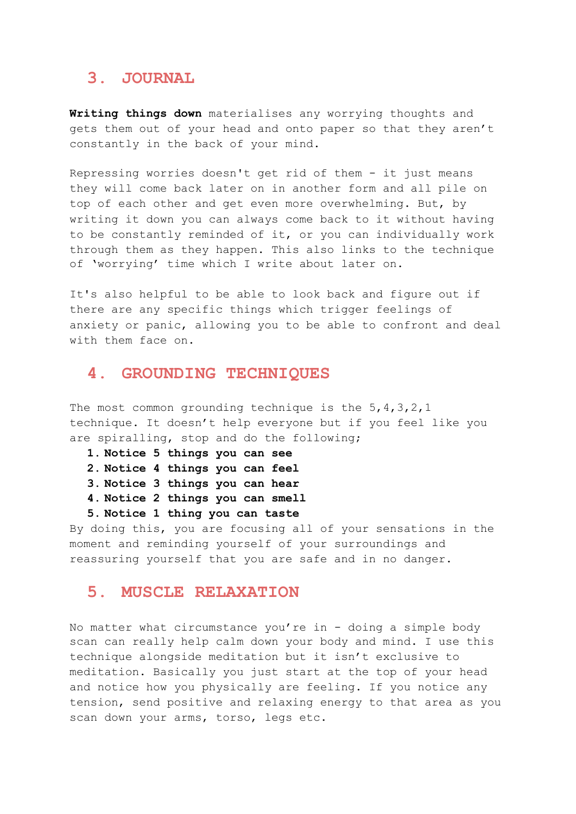### **3. JOURNAL**

**Writing things down** materialises any worrying thoughts and gets them out of your head and onto paper so that they aren't constantly in the back of your mind.

Repressing worries doesn't get rid of them - it just means they will come back later on in another form and all pile on top of each other and get even more overwhelming. But, by writing it down you can always come back to it without having to be constantly reminded of it, or you can individually work through them as they happen. This also links to the technique of 'worrying' time which I write about later on.

It's also helpful to be able to look back and figure out if there are any specific things which trigger feelings of anxiety or panic, allowing you to be able to confront and deal with them face on.

## **4. GROUNDING TECHNIQUES**

The most common grounding technique is the  $5, 4, 3, 2, 1$ technique. It doesn't help everyone but if you feel like you are spiralling, stop and do the following;

- **1. Notice 5 things you can see**
- **2. Notice 4 things you can feel**
- **3. Notice 3 things you can hear**
- **4. Notice 2 things you can smell**
- **5. Notice 1 thing you can taste**

By doing this, you are focusing all of your sensations in the moment and reminding yourself of your surroundings and reassuring yourself that you are safe and in no danger.

#### **5. MUSCLE RELAXATION**

No matter what circumstance you're in - doing a simple body scan can really help calm down your body and mind. I use this technique alongside meditation but it isn't exclusive to meditation. Basically you just start at the top of your head and notice how you physically are feeling. If you notice any tension, send positive and relaxing energy to that area as you scan down your arms, torso, legs etc.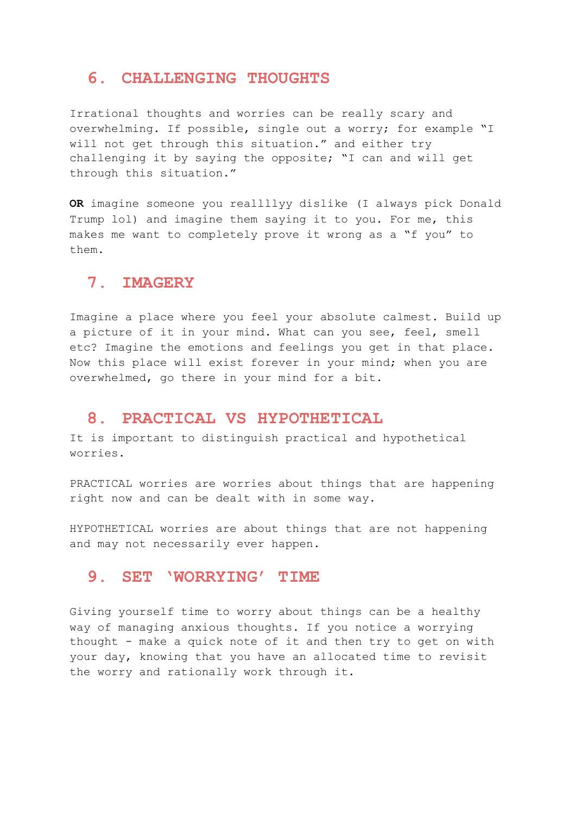## **6. CHALLENGING THOUGHTS**

Irrational thoughts and worries can be really scary and overwhelming. If possible, single out a worry; for example "I will not get through this situation." and either try challenging it by saying the opposite; "I can and will get through this situation."

**OR** imagine someone you reallllyy dislike (I always pick Donald Trump lol) and imagine them saying it to you. For me, this makes me want to completely prove it wrong as a "f you" to them.

## **7. IMAGERY**

Imagine a place where you feel your absolute calmest. Build up a picture of it in your mind. What can you see, feel, smell etc? Imagine the emotions and feelings you get in that place. Now this place will exist forever in your mind; when you are overwhelmed, go there in your mind for a bit.

#### **8. PRACTICAL VS HYPOTHETICAL**

It is important to distinguish practical and hypothetical worries.

PRACTICAL worries are worries about things that are happening right now and can be dealt with in some way.

HYPOTHETICAL worries are about things that are not happening and may not necessarily ever happen.

#### **9. SET 'WORRYING' TIME**

Giving yourself time to worry about things can be a healthy way of managing anxious thoughts. If you notice a worrying thought - make a quick note of it and then try to get on with your day, knowing that you have an allocated time to revisit the worry and rationally work through it.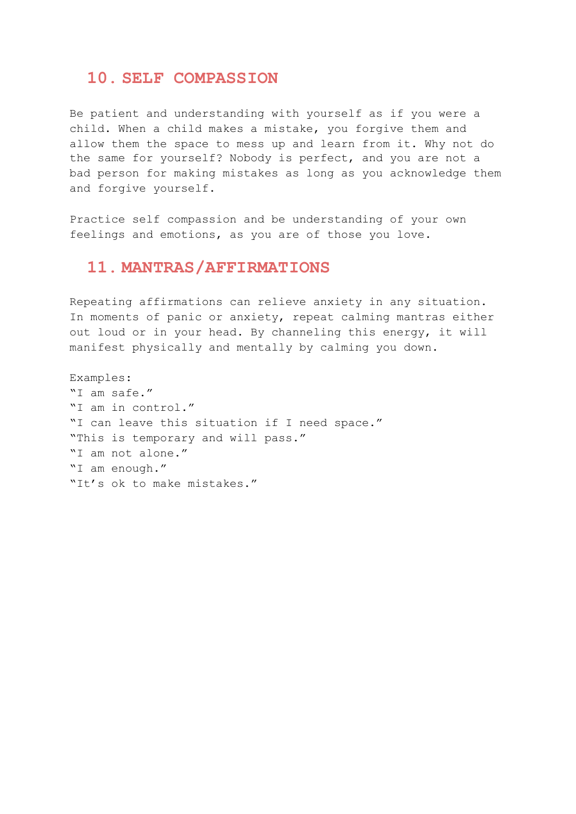#### **10. SELF COMPASSION**

Be patient and understanding with yourself as if you were a child. When a child makes a mistake, you forgive them and allow them the space to mess up and learn from it. Why not do the same for yourself? Nobody is perfect, and you are not a bad person for making mistakes as long as you acknowledge them and forgive yourself.

Practice self compassion and be understanding of your own feelings and emotions, as you are of those you love.

# **11. MANTRAS/AFFIRMATIONS**

Repeating affirmations can relieve anxiety in any situation. In moments of panic or anxiety, repeat calming mantras either out loud or in your head. By channeling this energy, it will manifest physically and mentally by calming you down.

```
Examples:
"I am safe."
"I am in control."
"I can leave this situation if I need space."
"This is temporary and will pass."
"I am not alone."
"I am enough."
"It's ok to make mistakes."
```